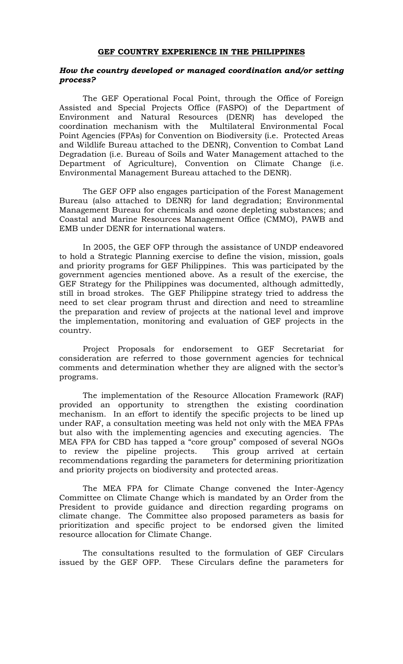#### **GEF COUNTRY EXPERIENCE IN THE PHILIPPINES**

### *How the country developed or managed coordination and/or setting process?*

The GEF Operational Focal Point, through the Office of Foreign Assisted and Special Projects Office (FASPO) of the Department of Environment and Natural Resources (DENR) has developed the coordination mechanism with the Multilateral Environmental Focal Point Agencies (FPAs) for Convention on Biodiversity (i.e. Protected Areas and Wildlife Bureau attached to the DENR), Convention to Combat Land Degradation (i.e. Bureau of Soils and Water Management attached to the Department of Agriculture), Convention on Climate Change (i.e. Environmental Management Bureau attached to the DENR).

The GEF OFP also engages participation of the Forest Management Bureau (also attached to DENR) for land degradation; Environmental Management Bureau for chemicals and ozone depleting substances; and Coastal and Marine Resources Management Office (CMMO), PAWB and EMB under DENR for international waters.

In 2005, the GEF OFP through the assistance of UNDP endeavored to hold a Strategic Planning exercise to define the vision, mission, goals and priority programs for GEF Philippines. This was participated by the government agencies mentioned above. As a result of the exercise, the GEF Strategy for the Philippines was documented, although admittedly, still in broad strokes. The GEF Philippine strategy tried to address the need to set clear program thrust and direction and need to streamline the preparation and review of projects at the national level and improve the implementation, monitoring and evaluation of GEF projects in the country.

Project Proposals for endorsement to GEF Secretariat for consideration are referred to those government agencies for technical comments and determination whether they are aligned with the sector's programs.

The implementation of the Resource Allocation Framework (RAF) provided an opportunity to strengthen the existing coordination mechanism. In an effort to identify the specific projects to be lined up under RAF, a consultation meeting was held not only with the MEA FPAs but also with the implementing agencies and executing agencies. The MEA FPA for CBD has tapped a "core group" composed of several NGOs to review the pipeline projects. This group arrived at certain recommendations regarding the parameters for determining prioritization and priority projects on biodiversity and protected areas.

The MEA FPA for Climate Change convened the Inter-Agency Committee on Climate Change which is mandated by an Order from the President to provide guidance and direction regarding programs on climate change. The Committee also proposed parameters as basis for prioritization and specific project to be endorsed given the limited resource allocation for Climate Change.

The consultations resulted to the formulation of GEF Circulars issued by the GEF OFP. These Circulars define the parameters for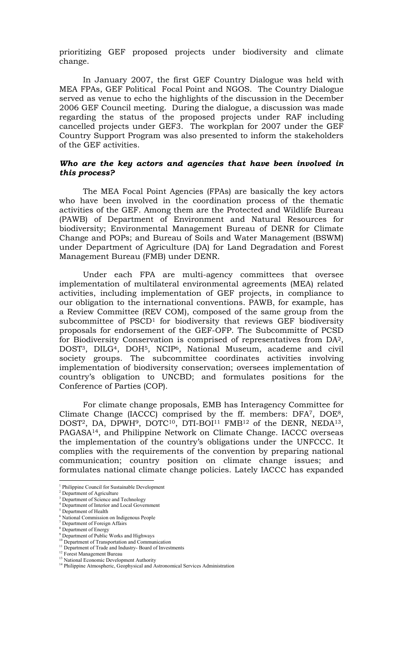prioritizing GEF proposed projects under biodiversity and climate change.

In January 2007, the first GEF Country Dialogue was held with MEA FPAs, GEF Political Focal Point and NGOS. The Country Dialogue served as venue to echo the highlights of the discussion in the December 2006 GEF Council meeting. During the dialogue, a discussion was made regarding the status of the proposed projects under RAF including cancelled projects under GEF3. The workplan for 2007 under the GEF Country Support Program was also presented to inform the stakeholders of the GEF activities.

## *Who are the key actors and agencies that have been involved in this process?*

The MEA Focal Point Agencies (FPAs) are basically the key actors who have been involved in the coordination process of the thematic activities of the GEF. Among them are the Protected and Wildlife Bureau (PAWB) of Department of Environment and Natural Resources for biodiversity; Environmental Management Bureau of DENR for Climate Change and POPs; and Bureau of Soils and Water Management (BSWM) under Department of Agriculture (DA) for Land Degradation and Forest Management Bureau (FMB) under DENR.

Under each FPA are multi-agency committees that oversee implementation of multilateral environmental agreements (MEA) related activities, including implementation of GEF projects, in compliance to our obligation to the international conventions. PAWB, for example, has a Review Committee (REV COM), composed of the same group from the subcommittee of PSCD1 for biodiversity that reviews GEF biodiversity proposals for endorsement of the GEF-OFP. The Subcommitte of PCSD for Biodiversity Conservation is comprised of representatives from DA2, DOST<sup>3</sup>, DILG<sup>4</sup>, DOH<sup>5</sup>, NCIP<sup>6</sup>, National Museum, academe and civil society groups. The subcommittee coordinates activities involving implementation of biodiversity conservation; oversees implementation of country's obligation to UNCBD; and formulates positions for the Conference of Parties (COP).

For climate change proposals, EMB has Interagency Committee for Climate Change (IACCC) comprised by the ff. members: DFA7, DOE8, DOST<sup>2</sup>, DA, DPWH<sup>9</sup>, DOTC<sup>10</sup>, DTI-BOI<sup>11</sup> FMB<sup>12</sup> of the DENR, NEDA<sup>13</sup>, PAGASA14, and Philippine Network on Climate Change. IACCC overseas the implementation of the country's obligations under the UNFCCC. It complies with the requirements of the convention by preparing national communication; country position on climate change issues; and formulates national climate change policies. Lately IACCC has expanded

 $\overline{a}$ 

<sup>&</sup>lt;sup>1</sup> Philippine Council for Sustainable Development

<sup>2</sup> Department of Agriculture

<sup>3</sup> Department of Science and Technology 4

Department of Interior and Local Government <sup>5</sup> Department of Health

<sup>6</sup> National Commission on Indigenous People 7 Department of Foreign Affairs

<sup>8</sup> Department of Energy 9 Department of Public Works and Highways

<sup>&</sup>lt;sup>10</sup> Department of Transportation and Communication

<sup>&</sup>lt;sup>11</sup> Department of Trade and Industry- Board of Investments

<sup>&</sup>lt;sup>12</sup> Forest Management Bureau

<sup>&</sup>lt;sup>13</sup> National Economic Development Authority

<sup>&</sup>lt;sup>14</sup> Philippine Atmospheric, Geophysical and Astronomical Services Administration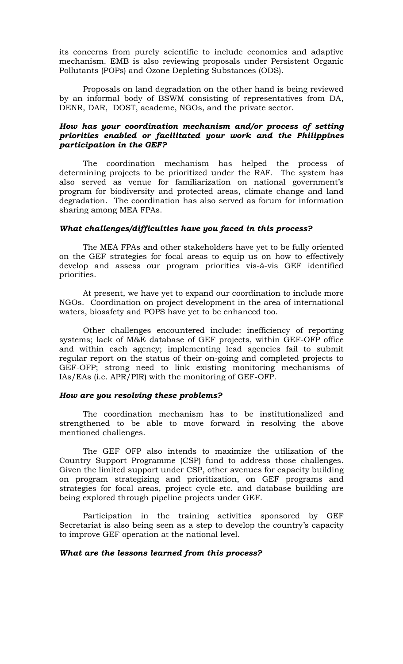its concerns from purely scientific to include economics and adaptive mechanism. EMB is also reviewing proposals under Persistent Organic Pollutants (POPs) and Ozone Depleting Substances (ODS).

Proposals on land degradation on the other hand is being reviewed by an informal body of BSWM consisting of representatives from DA, DENR, DAR, DOST, academe, NGOs, and the private sector.

# *How has your coordination mechanism and/or process of setting priorities enabled or facilitated your work and the Philippines participation in the GEF?*

The coordination mechanism has helped the process of determining projects to be prioritized under the RAF. The system has also served as venue for familiarization on national government's program for biodiversity and protected areas, climate change and land degradation. The coordination has also served as forum for information sharing among MEA FPAs.

# *What challenges/difficulties have you faced in this process?*

The MEA FPAs and other stakeholders have yet to be fully oriented on the GEF strategies for focal areas to equip us on how to effectively develop and assess our program priorities vis-à-vis GEF identified priorities.

At present, we have yet to expand our coordination to include more NGOs. Coordination on project development in the area of international waters, biosafety and POPS have yet to be enhanced too.

Other challenges encountered include: inefficiency of reporting systems; lack of M&E database of GEF projects, within GEF-OFP office and within each agency; implementing lead agencies fail to submit regular report on the status of their on-going and completed projects to GEF-OFP; strong need to link existing monitoring mechanisms of IAs/EAs (i.e. APR/PIR) with the monitoring of GEF-OFP.

### *How are you resolving these problems?*

 The coordination mechanism has to be institutionalized and strengthened to be able to move forward in resolving the above mentioned challenges.

The GEF OFP also intends to maximize the utilization of the Country Support Programme (CSP) fund to address those challenges. Given the limited support under CSP, other avenues for capacity building on program strategizing and prioritization, on GEF programs and strategies for focal areas, project cycle etc. and database building are being explored through pipeline projects under GEF.

Participation in the training activities sponsored by GEF Secretariat is also being seen as a step to develop the country's capacity to improve GEF operation at the national level.

### *What are the lessons learned from this process?*